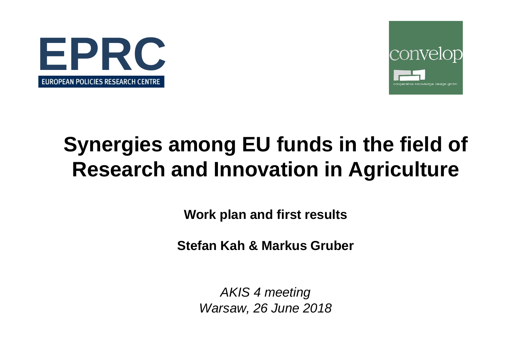



## **Synergies among EU funds in the field of Research and Innovation in Agriculture**

**Work plan and first results**

**Stefan Kah & Markus Gruber**

*AKIS 4 meeting Warsaw, 26 June 2018*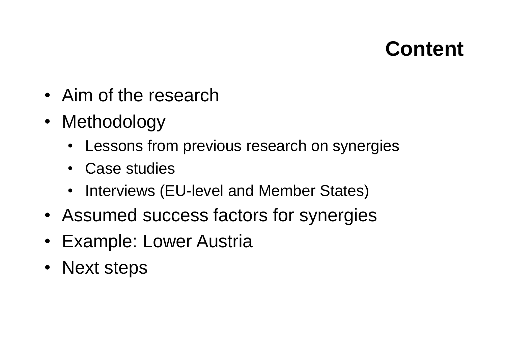## **Content**

- Aim of the research
- Methodology
	- Lessons from previous research on synergies
	- Case studies
	- Interviews (EU-level and Member States)
- Assumed success factors for synergies
- Example: Lower Austria
- Next steps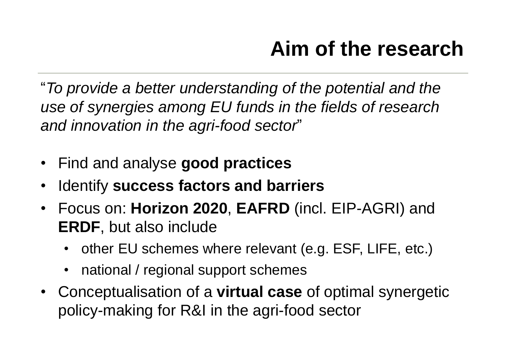# **Aim of the research**

"*To provide a better understanding of the potential and the use of synergies among EU funds in the fields of research and innovation in the agri-food sector*"

- Find and analyse **good practices**
- Identify **success factors and barriers**
- Focus on: **Horizon 2020**, **EAFRD** (incl. EIP-AGRI) and **ERDF**, but also include
	- other EU schemes where relevant (e.g. ESF, LIFE, etc.)
	- national / regional support schemes
- Conceptualisation of a **virtual case** of optimal synergetic policy-making for R&I in the agri-food sector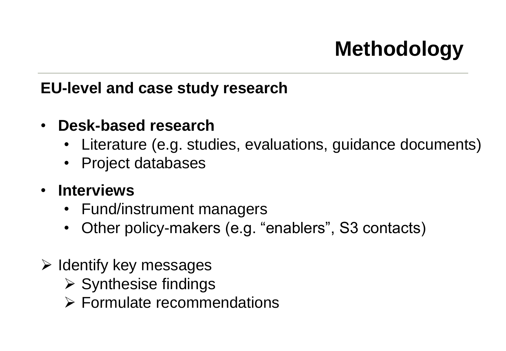# **Methodology**

#### **EU-level and case study research**

- **Desk-based research**
	- Literature (e.g. studies, evaluations, guidance documents)
	- Project databases
- **Interviews**
	- Fund/instrument managers
	- Other policy-makers (e.g. "enablers", S3 contacts)
- $\triangleright$  Identify key messages
	- $\triangleright$  Synthesise findings
	- $\triangleright$  Formulate recommendations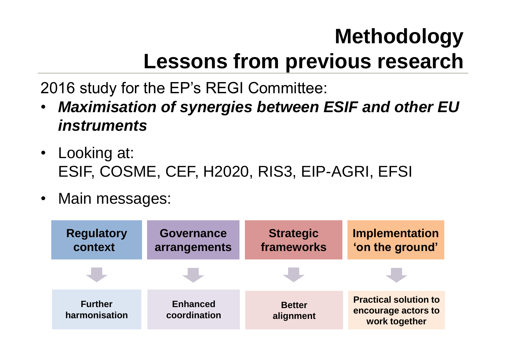# **Methodology Lessons from previous research**

2016 study for the EP's REGI Committee:

- *Maximisation of synergies between ESIF and other EU instruments*
- Looking at: ESIF, COSME, CEF, H2020, RIS3, EIP-AGRI, EFSI
- Main messages:

| <b>Regulatory</b><br>context    | <b>Governance</b><br>arrangements | <b>Strategic</b><br>frameworks | <b>Implementation</b><br>'on the ground'                             |
|---------------------------------|-----------------------------------|--------------------------------|----------------------------------------------------------------------|
|                                 |                                   |                                |                                                                      |
| <b>Further</b><br>harmonisation | <b>Enhanced</b><br>coordination   | <b>Better</b><br>alignment     | <b>Practical solution to</b><br>encourage actors to<br>work together |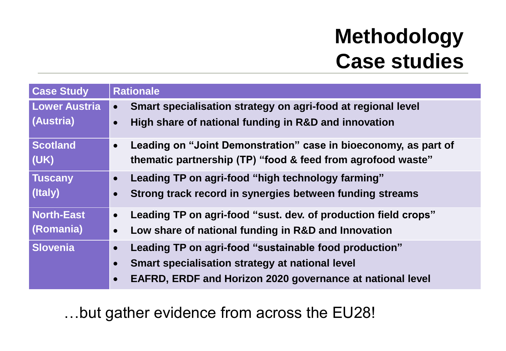## **Methodology Case studies**

| <b>Case Study</b>       | <b>Rationale</b>                                                                                                                            |
|-------------------------|---------------------------------------------------------------------------------------------------------------------------------------------|
| <b>Lower Austria</b>    | Smart specialisation strategy on agri-food at regional level<br>$\bullet$                                                                   |
| (Austria)               | High share of national funding in R&D and innovation<br>$\bullet$                                                                           |
| <b>Scotland</b><br>(UK) | Leading on "Joint Demonstration" case in bioeconomy, as part of<br>$\bullet$<br>thematic partnership (TP) "food & feed from agrofood waste" |
| <b>Tuscany</b>          | Leading TP on agri-food "high technology farming"<br>$\bullet$                                                                              |
| (Italy)                 | Strong track record in synergies between funding streams<br>$\bullet$                                                                       |
| <b>North-East</b>       | Leading TP on agri-food "sust. dev. of production field crops"<br>$\bullet$                                                                 |
| (Romania)               | Low share of national funding in R&D and Innovation<br>$\bullet$                                                                            |
| <b>Slovenia</b>         | Leading TP on agri-food "sustainable food production"<br>$\bullet$                                                                          |
|                         | Smart specialisation strategy at national level<br>$\bullet$                                                                                |
|                         | <b>EAFRD, ERDF and Horizon 2020 governance at national level</b>                                                                            |

…but gather evidence from across the EU28!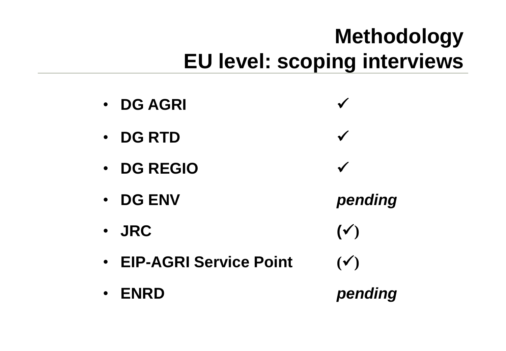# **Methodology EU level: scoping interviews**

- **DG AGRI**
- **DG RTD**
- **DG REGIO**
- **DG ENV** *pending*
- **JRC ()**
- EIP-AGRI Service Point  $(\checkmark)$
- **ENRD** *pending*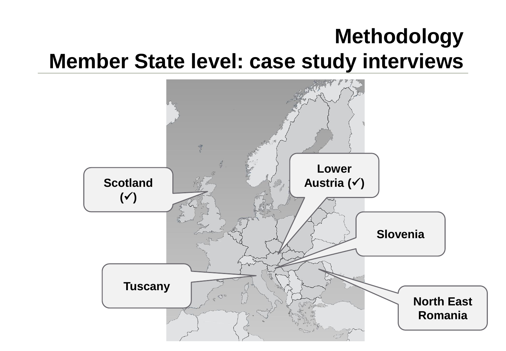## **Methodology Member State level: case study interviews**

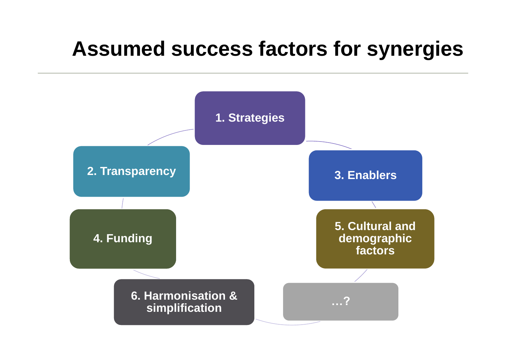## **Assumed success factors for synergies**

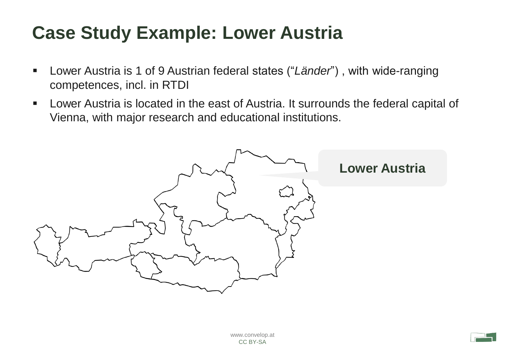### **Case Study Example: Lower Austria**

- Lower Austria is 1 of 9 Austrian federal states ("*Länder*") , with wide-ranging competences, incl. in RTDI
- **EXTE:** Lower Austria is located in the east of Austria. It surrounds the federal capital of Vienna, with major research and educational institutions.

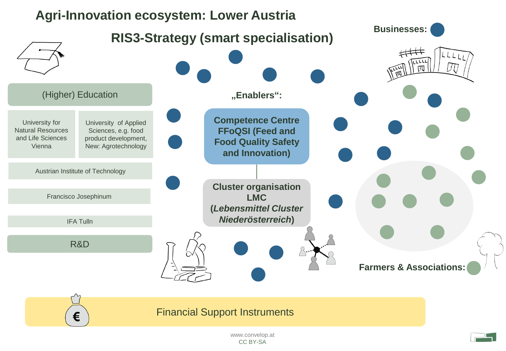

www.convelop.at<br>CC BY-SA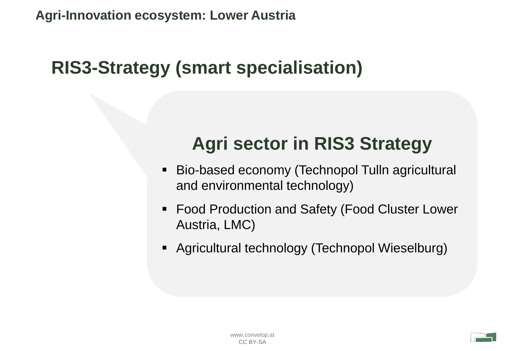## **RIS3-Strategy (smart specialisation)**

## **Agri sector in RIS3 Strategy**

- Bio-based economy (Technopol Tulln agricultural and environmental technology)
- Food Production and Safety (Food Cluster Lower Austria, LMC)
- Agricultural technology (Technopol Wieselburg)

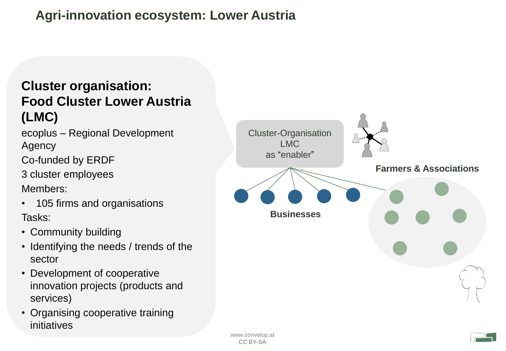#### **Agri-innovation ecosystem: Lower Austria**

#### **Cluster organisation: Food Cluster Lower Austria (LMC)**

ecoplus – Regional Development Agency

Co-funded by ERDF

3 cluster employees

Members:

- 105 firms and organisations Tasks:
- Community building
- Identifying the needs / trends of the sector
- Development of cooperative innovation projects (products and services)
- Organising cooperative training initiatives

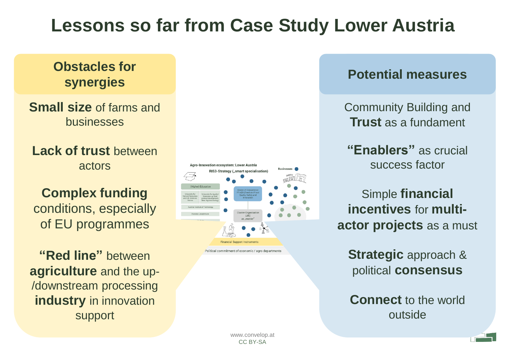#### **Lessons so far from Case Study Lower Austria**

# **Obstacles for**

**Small size** of farms and businesses

Lack of trust between actors

**Complex funding**  conditions, especially of EU programmes

**"Red line"** between **agriculture** and the up- /downstream processing **industry** in innovation support



#### **synergies Potential measures**

Community Building and **Trust** as a fundament

**"Enablers"** as crucial success factor

Simple **financial incentives** for **multiactor projects** as a must

**Strategic** approach & political **consensus** 

**Connect** to the world outside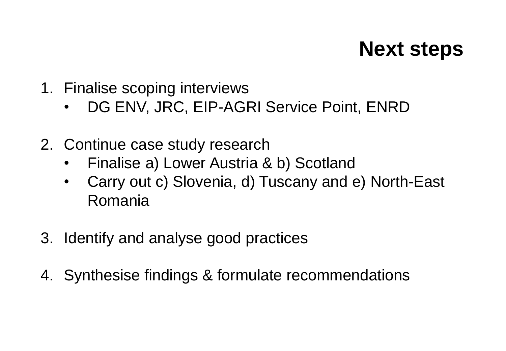## **Next steps**

- 1. Finalise scoping interviews
	- DG ENV, JRC, EIP-AGRI Service Point, ENRD
- 2. Continue case study research
	- Finalise a) Lower Austria & b) Scotland
	- Carry out c) Slovenia, d) Tuscany and e) North-East Romania
- 3. Identify and analyse good practices
- 4. Synthesise findings & formulate recommendations